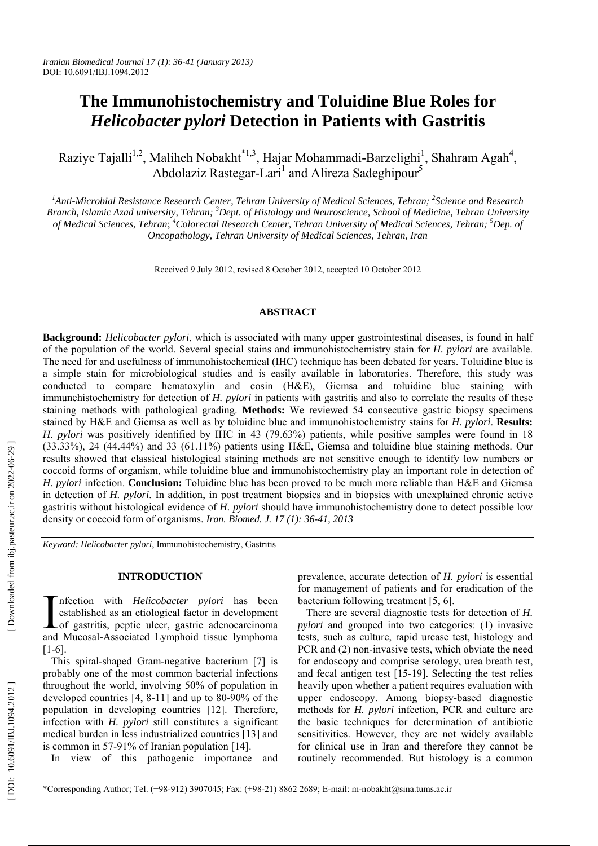# **The Immunohistochemistry and Toluidine Blue Roles for**  *Helicobacter pylori* **Detection in Patients with Gastritis**

Raziye Tajalli<sup>1,2</sup>, Maliheh Nobakht<sup>\*1,3</sup>, Hajar Mohammadi-Barzelighi<sup>1</sup>, Shahram Agah<sup>4</sup>, Abdolaziz Rastegar-Lari<sup>1</sup> and Alireza Sadeghipour<sup>5</sup>

<sup>1</sup>Anti-Microbial Resistance Research Center, Tehran University of Medical Sciences, Tehran; <sup>2</sup>Science and Research Branch, Islamic Azad university, Tehran; <sup>3</sup>Dept. of Histology and Neuroscience, School of Medicine, Tehran University of Medical Sciences, Tehran; <sup>4</sup>Colorectal Research Center, Tehran University of Medical Sciences, Tehran; <sup>5</sup>Dep. of *Oncopathology, Tehran University of Medical Sciences, Tehran, Iran* 

Received 9 July 2012, revised 8 October 2012, accepted 10 October 2012

## **ABSTRACT**

**Background:** *Helicobacter pylori*, which is associated with many upper gastrointestinal diseases, is found in half of the population of the world. Several special stains and immunohistochemistry stain for *H. pylori* are available. The need for and usefulness of immunohistochemical (IHC) technique has been debated for years. Toluidine blue is a simple stain for microbiological studies and is easily available in laboratories. Therefore, this study was conducted to compare hematoxylin and eosin (H&E), Giemsa and toluidine blue staining with immunehistochemistry for detection of *H. pylori* in patients with gastritis and also to correlate the results of these staining methods with pathological grading. **Methods:** We reviewed 54 consecutive gastric biopsy specimens stained by H&E and Giemsa as well as by toluidine blue and immunohistochemistry stains for *H. pylori*. **Results:** *H. pylori* was positively identified by IHC in 43 (79.63%) patients, while positive samples were found in 18 (33.33%), 24 (44.44%) and 33 (61.11%) patients using H&E, Giemsa and toluidine blue staining methods. Our results showed that classical histological staining methods are not sensitive enough to identify low numbers or coccoid forms of organism, while toluidine blue and immunohistochemistry play an important role in detection of *H. pylori* infection. **Conclusion:** Toluidine blue has been proved to be much more reliable than H&E and Giemsa in detection of *H. pylori*. In addition, in post treatment biopsies and in biopsies with unexplained chronic active gastritis without histological evidence of *H. pylori* should have immunohistochemistry done to detect possible low density or coccoid form of organisms. *Iran. Biomed. J. 17 (1): 36-41, 2013*

*Keyword: Helicobacter pylori*, Immunohistochemistry, Gastritis

## **INTRODUCTION**

nfection with *Helicobacter pylori* has been established as an etiological factor in development Infection with *Helicobacter pylori* has been<br>established as an etiological factor in development<br>of gastritis, peptic ulcer, gastric adenocarcinoma<br>and Mucosal Associated Lymphoid tissue lymphoma and Mucosal-Associated Lymphoid tissue lymphoma [1-6].

This spiral-shaped Gram-negative bacterium [7] is probably one of the most common bacterial infections throughout the world, involving 50% of population in developed countries [4, 8-11] and up to 80-90% of the population in developing countries [12]. Therefore, infection with *H. pylori* still constitutes a significant medical burden in less industrialized countries [13] and is common in 57-91% of Iranian population [14].

In view of this pathogenic importance and

prevalence, accurate detection of *H. pylori* is essential for management of patients and for eradication of the bacterium following treatment [5, 6].

There are several diagnostic tests for detection of *H. pylori* and grouped into two categories: (1) invasive tests, such as culture, rapid urease test, histology and PCR and (2) non-invasive tests, which obviate the need for endoscopy and comprise serology, urea breath test, and fecal antigen test [15-19]. Selecting the test relies heavily upon whether a patient requires evaluation with upper endoscopy. Among biopsy-based diagnostic methods for *H. pylori* infection, PCR and culture are the basic techniques for determination of antibiotic sensitivities. However, they are not widely available for clinical use in Iran and therefore they cannot be routinely recommended. But histology is a common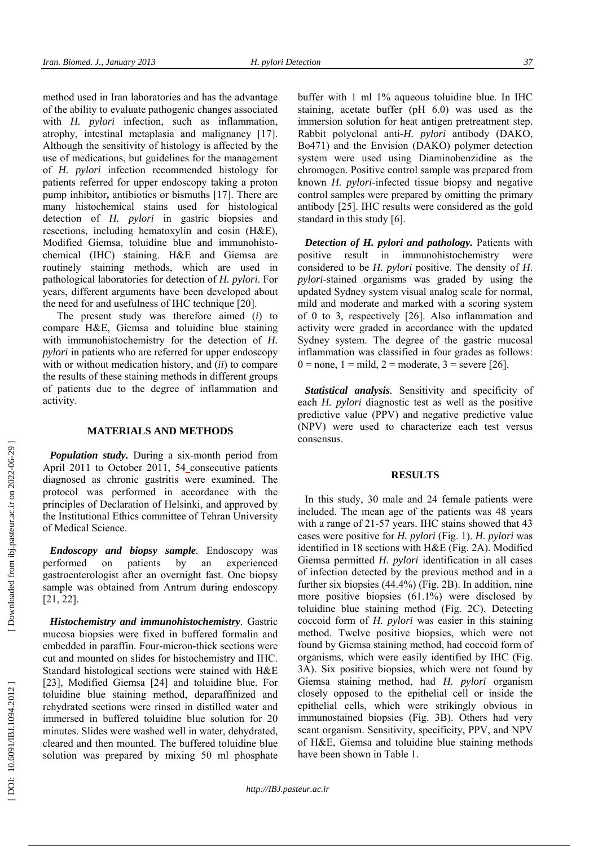method used in Iran laboratories and has the advantage of the ability to evaluate pathogenic changes associated with *H. pylori* infection, such as inflammation, atrophy, intestinal metaplasia and malignancy [17]. Although the sensitivity of histology is affected by the use of medications, but guidelines for the management of *H. pylori* infection recommended histology for patients referred for upper endoscopy taking a proton pump inhibitor**,** antibiotics or bismuths [17]. There are many histochemical stains used for histological detection of *H. pylori* in gastric biopsies and resections, including hematoxylin and eosin (H&E), Modified Giemsa, toluidine blue and immunohistochemical (IHC) staining. H&E and Giemsa are routinely staining methods, which are used in pathological laboratories for detection of *H. pylori*. For years, different arguments have been developed about the need for and usefulness of IHC technique [20].

The present study was therefore aimed ( *i*) to compare H&E, Giemsa and toluidine blue staining with immunohistochemistry for the detection of *H. pylori* in patients who are referred for upper endoscopy with or without medication history, and (*ii*) to compare the results of these staining methods in different groups of patients due to the degree of inflammation and activity.

#### **MATERIALS AND METHODS**

*Population study.* During a six-month period from April 2011 to October 2011, 54 consecutive patients diagnosed as chronic gastritis were examined. The protocol was performed in accordance with the principles of Declaration of Helsinki, and approved by the Institutional Ethics committee of Tehran University of Medical Science.

*Endoscopy and biopsy sample .* Endoscopy was performed on patients by an experienced gastroenterologist after an overnight fast. One biopsy sample was obtained from Antrum during endoscopy [21, 22].

*Histochemistry and immunohistochemistry.* Gastric mucosa biopsies were fixed in buffered formalin and embedded in paraffin. Four-micron-thick sections were cut and mounted on slides for histochemistry and IHC. Standard histological sections were stained with H&E [23], Modified Giemsa [24] and toluidine blue. For toluidine blue staining method, deparaffinized and rehydrated sections were rinsed in distilled water and immersed in buffered toluidine blue solution for 20 minutes. Slides were washed well in water, dehydrated, cleared and then mounted. The buffered toluidine blue solution was prepared by mixing 50 ml phosphate

buffer with 1 ml 1% aqueous toluidine blue. In IHC staining, acetate buffer (pH 6.0) was used as the immersion solution for heat antigen pretreatment step. Rabbit polyclonal anti-*H. pylori* antibody (DAKO, Bo471) and the Envision (DAKO) polymer detection system were used using Diaminobenzidine as the chromogen. Positive control sample was prepared from known *H. pylori*-infected tissue biopsy and negative control samples were prepared by omitting the primary antibody [25]. IHC results were considered as the gold standard in this study [6].

*Detection of H. pylori and pathology.* Patients with positive result in immunohistochemistry were considered to be *H. pylori* positive. The density of *H*. *pylori*-stained organisms was graded by using the updated Sydney system visual analog scale for normal, mild and moderate and marked with a scoring system of 0 to 3, respectively [26]. Also inflammation and activity were graded in accordance with the updated Sydney system. The degree of the gastric mucosal inflammation was classified in four grades as follows:  $0 = none$ ,  $1 = mild$ ,  $2 = moderate$ ,  $3 = severe$  [26].

*Statistical analysis.* Sensitivity and specificity of each *H. pylori* diagnostic test as well as the positive predictive value (PPV) and negative predictive value (NPV) were used to characterize each test versus consensus.

#### **RESULTS**

In this study, 30 male and 24 female patients were included. The mean age of the patients was 48 years with a range of 21-57 years. IHC stains showed that 43 cases were positive for *H. pylori* (Fig. 1). *H. pylori* was identified in 18 sections with H&E (Fig. 2A). Modified Giemsa permitted *H. pylori* identification in all cases of infection detected by the previous method and in a further six biopsies (44.4%) (Fig. 2B). In addition, nine more positive biopsies (61.1%) were disclosed by toluidine blue staining method (Fig. 2C). Detecting coccoid form of *H. pylori* was easier in this staining method. Twelve positive biopsies, which were not found by Giemsa staining method, had coccoid form of organisms, which were easily identified by IHC (Fig. 3A). Six positive biopsies, which were not found by Giemsa staining method, had *H. pylori* organism closely opposed to the epithelial cell or inside the epithelial cells, which were strikingly obvious in immunostained biopsies (Fig. 3B). Others had very scant organism. Sensitivity, specificity, PPV, and NPV of H&E, Giemsa and toluidine blue staining methods have been shown in Table 1.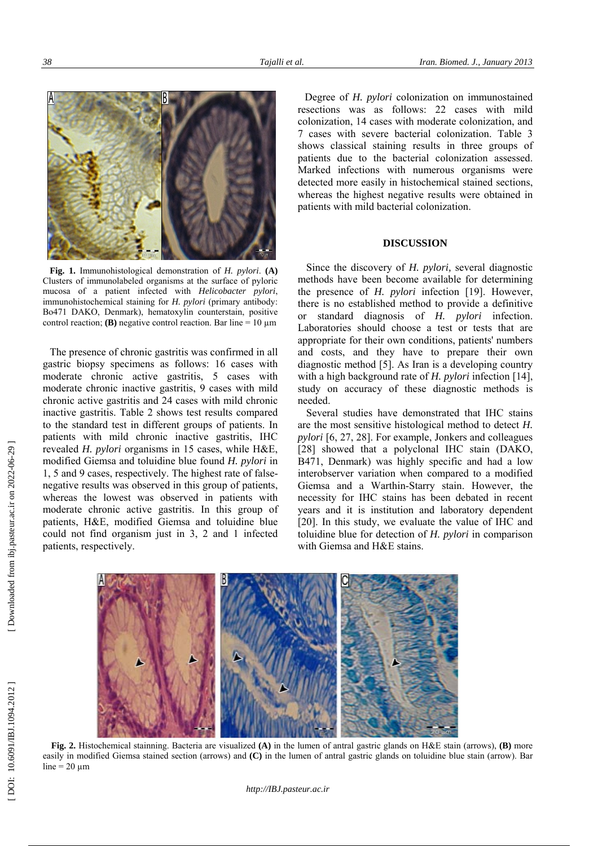

**Fig. 1.** Immunohistological demonstration of *H. pylori*. **(A)** Clusters of immunolabeled organisms at the surface of pyloric mucosa of a patient infected with *Helicobacter pylori*, immunohistochemical staining for *H. pylori* (primary antibody: Bo471 DAKO, Denmark), hematoxylin counterstain, positive control reaction; **(B)** negative control reaction. Bar line =  $10 \mu m$ 

The presence of chronic gastritis was confirmed in all gastric biopsy specimens as follows: 16 cases with moderate chronic active gastritis, 5 cases with moderate chronic inactive gastritis, 9 cases with mild chronic active gastritis and 24 cases with mild chronic inactive gastritis. Table 2 shows test results compared to the standard test in different groups of patients. In patients with mild chronic inactive gastritis, IHC revealed *H. pylori* organisms in 15 cases, while H&E, modified Giemsa and toluidine blue found *H. pylori* in 1, 5 and 9 cases, respectively. The highest rate of falsenegative results was observed in this group of patients, whereas the lowest was observed in patients with moderate chronic active gastritis. In this group of patients, H&E, modified Giemsa and toluidine blue could not find organism just in 3, 2 and 1 infected patients, respectively.

Degree of *H. pylori* colonization on immunostained resections was as follows: 22 cases with mild colonization, 14 cases with moderate colonization, and 7 cases with severe bacterial colonization. Table 3 shows classical staining results in three groups of patients due to the bacterial colonization assessed. Marked infections with numerous organisms were detected more easily in histochemical stained sections, whereas the highest negative results were obtained in patients with mild bacterial colonization.

## **DISCUSSION**

Since the discovery of *H. pylori,* several diagnostic methods have been become available for determining the presence of *H. pylori* infection [19]. However, there is no established method to provide a definitive or standard diagnosis of *H. pylori* infection. Laboratories should choose a test or tests that are appropriate for their own conditions, patients' numbers and costs, and they have to prepare their own diagnostic method [5]. As Iran is a developing country with a high background rate of *H. pylori* infection [14], study on accuracy of these diagnostic methods is needed.

Several studies have demonstrated that IHC stains are the most sensitive histological method to detect *H. pylori* [6, 27, 28]. For example, Jonkers and colleagues [28] showed that a polyclonal IHC stain (DAKO, B471, Denmark) was highly specific and had a low interobserver variation when compared to a modified Giemsa and a Warthin-Starry stain. However, the necessity for IHC stains has been debated in recent years and it is institution and laboratory dependent [20]. In this study, we evaluate the value of IHC and toluidine blue for detection of *H. pylori* in comparison with Giemsa and H&E stains.



**Fig. 2.** Histochemical stainning. Bacteria are visualized **(A)** in the lumen of antral gastric glands on H&E stain (arrows), **(B)** more easily in modified Giemsa stained section (arrows) and **(C)** in the lumen of antral gastric glands on toluidine blue stain (arrow). Bar line =  $20 \mu m$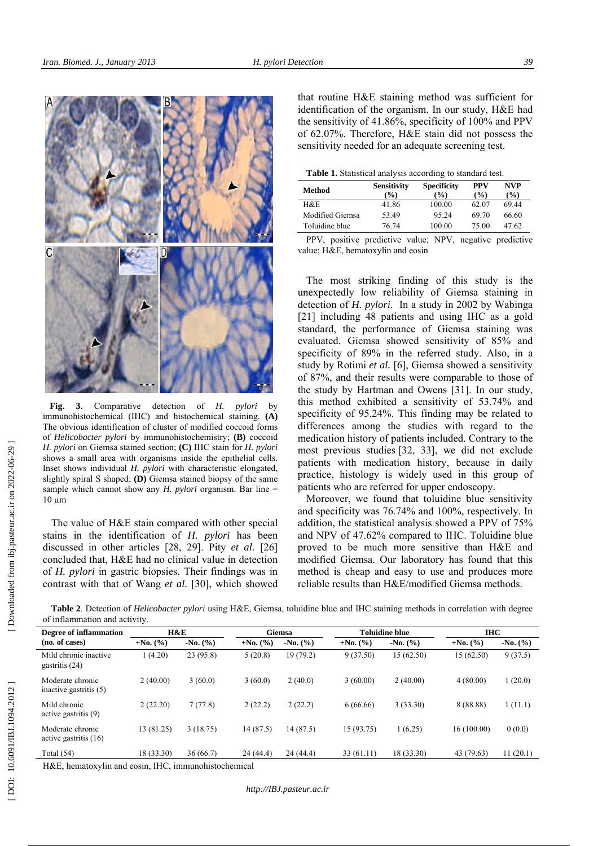

**Fig. 3.** Comparative detection of *H. pylori* by immunohistochemical (IHC) and histochemical staining. **(A)**  The obvious identification of cluster of modified coccoid forms of *Helicobacter pylori* by immunohistochemistry; **(B)** coccoid *H. pylori* on Giemsa stained section; **(C)** IHC stain for *H. pylori* shows a small area with organisms inside the epithelial cells. Inset shows individual *H. pylori* with characteristic elongated, slightly spiral S shaped; **(D)** Giemsa stained biopsy of the same sample which cannot show any *H. pylori* organism. Bar line =  $10 \mu m$ 

The value of H&E stain compared with other special stains in the identification of *H. pylori* has been discussed in other articles [28, 29]. Pity *et al.* [26] concluded that, H&E had no clinical value in detection of *H. pylori* in gastric biopsies. Their findings was in contrast with that of Wang *et al.* [30], which showed

that routine H&E staining method was sufficient for identification of the organism. In our study, H&E had the sensitivity of 41.86%, specificity of 100% and PPV of 62.07%. Therefore, H&E stain did not possess the sensitivity needed for an adequate screening test.

**Table 1.** Statistical analysis according to standard test.

| Method                  | <b>Sensitivity</b><br>$\frac{9}{6}$ | <b>Specificity</b><br>$($ %) | <b>PPV</b><br>$\frac{9}{6}$ | NVP<br>(%) |  |
|-------------------------|-------------------------------------|------------------------------|-----------------------------|------------|--|
| H&E                     | 41.86                               | 100.00                       | 62.07                       | 69.44      |  |
| Modified Giemsa         | 53.49                               | 95.24                        | 69.70                       | 66.60      |  |
| Toluidine blue          | 76.74                               | 100.00                       | 75.00                       | 47.62      |  |
| $\mathbf{m} \mathbf{m}$ | $\mathbf{1}$                        | $\mathbf{X}$ $\mathbf{Y}$    |                             | $\cdots$   |  |

PPV, positive predictive value; NPV, negative predictive value; H&E, hematoxylin and eosin

The most striking finding of this study is the unexpectedly low reliability of Giemsa staining in detection of *H. pylori*. In a study in 2002 by Wabinga [21] including 48 patients and using IHC as a gold standard, the performance of Giemsa staining was evaluated. Giemsa showed sensitivity of 85% and specificity of 89% in the referred study. Also, in a study by Rotimi *et al.* [6], Giemsa showed a sensitivity of 87%, and their results were comparable to those of the study by Hartman and Owens [31]. In our study, this method exhibited a sensitivity of 53.74% and specificity of 95.24%. This finding may be related to differences among the studies with regard to the medication history of patients included. Contrary to the most previous studies [32, 33], we did not exclude patients with medication history, because in daily practice, histology is widely used in this group of patients who are referred for upper endoscopy.

Moreover, we found that toluidine blue sensitivity and specificity was 76.74% and 100%, respectively. In addition, the statistical analysis showed a PPV of 75% and NPV of 47.62% compared to IHC. Toluidine blue proved to be much more sensitive than H&E and modified Giemsa. Our laboratory has found that this method is cheap and easy to use and produces more reliable results than H&E/modified Giemsa methods.

**Table 2**. Detection of *Helicobacter pylori* using H&E, Giemsa, toluidine blue and IHC staining methods in correlation with degree of inflammation and activity.

| Degree of inflammation                       | H&E        |                         | Giemsa     |            | <b>Toluidine blue</b> |            | IHC.        |            |
|----------------------------------------------|------------|-------------------------|------------|------------|-----------------------|------------|-------------|------------|
| (no. of cases)                               | $+No. (%)$ | $-N0$ . $(\frac{9}{6})$ | $+No. (%)$ | $-No. (%)$ | $+No.$ (%)            | $-No. (%)$ | $+No. (%)$  | $-No. (%)$ |
| Mild chronic inactive<br>gastritis (24)      | 1(4.20)    | 23(95.8)                | 5(20.8)    | 19 (79.2)  | 9(37.50)              | 15(62.50)  | 15 (62.50)  | 9(37.5)    |
| Moderate chronic<br>inactive gastritis $(5)$ | 2(40.00)   | 3(60.0)                 | 3(60.0)    | 2(40.0)    | 3(60.00)              | 2(40.00)   | 4(80.00)    | 1(20.0)    |
| Mild chronic<br>active gastritis (9)         | 2(22.20)   | 7(77.8)                 | 2(22.2)    | 2(22.2)    | 6(66.66)              | 3(33.30)   | 8 (88.88)   | 1(11.1)    |
| Moderate chronic<br>active gastritis $(16)$  | 13 (81.25) | 3(18.75)                | 14(87.5)   | 14 (87.5)  | 15 (93.75)            | 1(6.25)    | 16 (100.00) | 0(0.0)     |
| Total $(54)$                                 | 18 (33.30) | 36(66.7)                | 24(44.4)   | 24(44.4)   | 33(61.11)             | 18 (33.30) | 43 (79.63)  | 11(20.1)   |

H&E, hematoxylin and eosin, IHC, immunohistochemical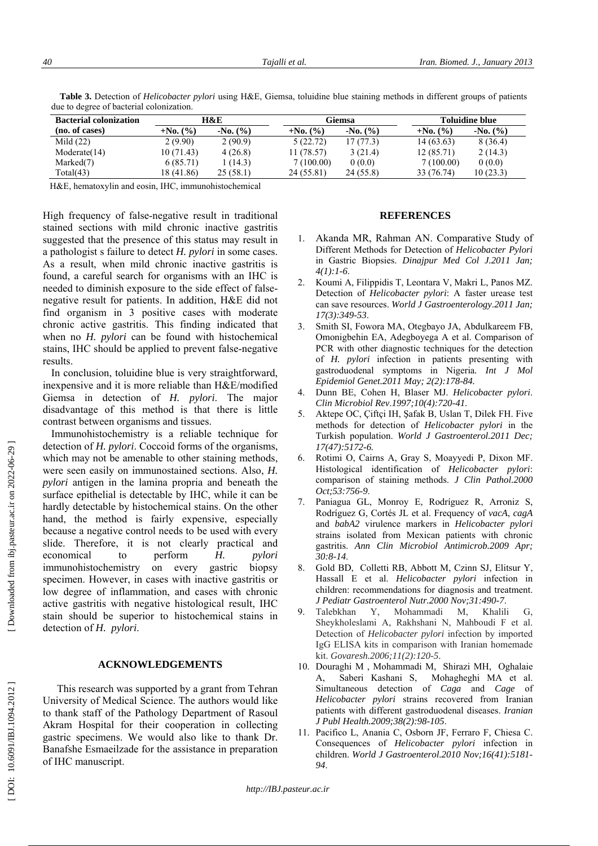| auc to degree of bacterial colonization. |                |                         |            |                         |                       |                         |  |
|------------------------------------------|----------------|-------------------------|------------|-------------------------|-----------------------|-------------------------|--|
| <b>Bacterial colonization</b>            | <b>H&amp;E</b> |                         | Giemsa     |                         | <b>Toluidine blue</b> |                         |  |
| (no. of cases)                           | $+No. (%)$     | $-N0$ . $(\frac{9}{0})$ | $+No. (%)$ | $-N0$ . $(\frac{9}{6})$ | $+No. (%)$            | $-N0$ . $(\frac{9}{6})$ |  |
| Mild $(22)$                              | 2(9.90)        | 2(90.9)                 | 5(22.72)   | 17(77.3)                | 14 (63.63)            | 8(36.4)                 |  |
| Modernate(14)                            | 10(71.43)      | 4(26.8)                 | 11 (78.57) | 3(21.4)                 | 12(85.71)             | 2(14.3)                 |  |
| Marketd(7)                               | 6(85.71)       | 1 (14.3)                | 7(100.00)  | 0(0.0)                  | 7(100.00)             | 0(0.0)                  |  |

Total(43) 18 (41.86) 25 (58.1) 24 (55.81) 24 (55.8) 33 (76.74) 10 (23.3)

**Table 3.** Detection of *Helicobacter pylori* using H&E, Giemsa, toluidine blue staining methods in different groups of patients due to degree of bacterial colonization.

H&E, hematoxylin and eosin, IHC, immunohistochemical

High frequency of false-negative result in traditional stained sections with mild chronic inactive gastritis suggested that the presence of this status may result in a pathologist s failure to detect *H. pylori* in some cases. As a result, when mild chronic inactive gastritis is found, a careful search for organisms with an IHC is needed to diminish exposure to the side effect of falsenegative result for patients. In addition, H&E did not find organism in 3 positive cases with moderate chronic active gastritis. This finding indicated that when no *H. pylori* can be found with histochemical stains, IHC should be applied to prevent false-negative results.

In conclusion, toluidine blue is very straightforward, inexpensive and it is more reliable than H&E/modified Giemsa in detection of *H. pylori*. The major disadvantage of this method is that there is little contrast between organisms and tissues.

Immunohistochemistry is a reliable technique for detection of *H. pylori*. Coccoid forms of the organisms, which may not be amenable to other staining methods, were seen easily on immunostained sections. Also, *H. pylori* antigen in the lamina propria and beneath the surface epithelial is detectable by IHC, while it can be hardly detectable by histochemical stains. On the other hand, the method is fairly expensive, especially because a negative control needs to be used with every slide. Therefore, it is not clearly practical and economical to perform *H. pylori* immunohistochemistry on every gastric biopsy specimen. However, in cases with inactive gastritis or low degree of inflammation, and cases with chronic active gastritis with negative histological result, IHC stain should be superior to histochemical stains in detection of *H. pylori*.

## **ACKNOWLEDGEMENTS**

This research was supported by a grant from Tehran University of Medical Science. The authors would like to thank staff of the Pathology Department of Rasoul Akram Hospital for their cooperation in collecting gastric specimens. We would also like to thank Dr. Banafshe Esmaeilzade for the assistance in preparation of IHC manuscript.

## **REFERENCES**

- 1. Akanda MR, Rahman AN. Comparative Study of Different Methods for Detection of *Helicobacter Pylori*  in Gastric Biopsies. *Dinajpur Med Col J.2011 Jan; 4(1):1-6*.
- 2. Koumi A, Filippidis T, Leontara V, Makri L, Panos MZ. Detection of *Helicobacter pylori*: A faster urease test can save resources. *World J Gastroenterology* .*2011 Jan; 17(3):349-53*.
- 3. Smith SI, Fowora MA, Otegbayo JA, Abdulkareem FB, Omonigbehin EA, Adegboyega A et al. Comparison of PCR with other diagnostic techniques for the detection of *H. pylori* infection in patients presenting with gastroduodenal symptoms in Nigeria*. Int J Mol Epidemiol Genet.2011 May; 2(2):178-84.*
- 4. Dunn BE, Cohen H, Blaser MJ. *Helicobacter pylori*. *Clin Microbiol Rev* .*1997;10(4):720-41*.
- 5. Aktepe OC, Çiftçi IH, Şafak B, Uslan T, Dilek FH. Five methods for detection of *Helicobacter pylori* in the Turkish population. *World J Gastroenterol.2011 Dec; 17(47):5172-6.*
- 6. Rotimi O, Cairns A, Gray S, Moayyedi P, Dixon MF. Histological identification of *Helicobacter pylori*: comparison of staining methods. *J Clin Pathol.2000 Oct;53:756-9*.
- 7. Paniagua GL, Monroy E, Rodríguez R, Arroniz S, Rodríguez G, Cortés JL et al. Frequency of *vacA*, *cagA*  and *babA2* virulence markers in *Helicobacter pylori*  strains isolated from Mexican patients with chronic gastritis. *Ann Clin Microbiol Antimicrob.2009 Apr; 30:8-14*.
- 8. Gold BD, Colletti RB, Abbott M, Czinn SJ, Elitsur Y, Hassall E et al. *Helicobacter pylori* infection in children: recommendations for diagnosis and treatment. *J Pediatr Gastroenterol Nutr.2000 Nov;31:490-7*.
- 9. Talebkhan Y, Mohammadi M, Khalili G, Sheykholeslami A, Rakhshani N, Mahboudi F et al. Detection of *Helicobacter pylori* infection by imported IgG ELISA kits in comparison with Iranian homemade kit. *Govaresh.2006;11(2):120-5*.
- 10. Douraghi M , Mohammadi M, Shirazi MH, Oghalaie A, Saberi Kashani S, Mohagheghi MA et al. Simultaneous detection of *Caga* and *Cage* of *Helicobacter pylori* strains recovered from Iranian patients with different gastroduodenal diseases. *Iranian J Publ Health.2009;38(2):98-105*.
- 11. Pacifico L, Anania C, Osborn JF, Ferraro F, Chiesa C. Consequences of *Helicobacter pylori* infection in children. *World J Gastroenterol.2010 Nov;16(41):5181- 94*.